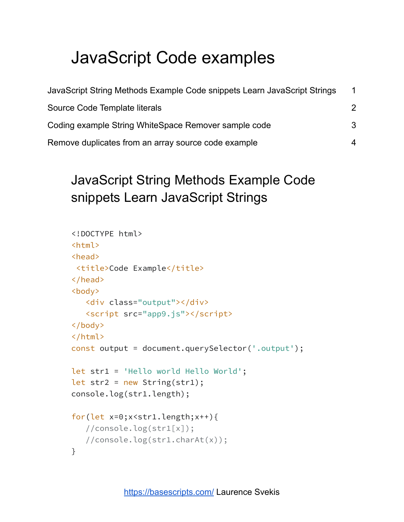# JavaScript Code examples

| JavaScript String Methods Example Code snippets Learn JavaScript Strings | $\mathbf 1$ |
|--------------------------------------------------------------------------|-------------|
| Source Code Template literals                                            | 2           |
| Coding example String WhiteSpace Remover sample code                     | 3           |
| Remove duplicates from an array source code example                      | 4           |

## <span id="page-0-0"></span>JavaScript String Methods Example Code snippets Learn JavaScript Strings

```
<!DOCTYPE html>
<html>
<head>
 <title>Code Example</title>
</head>
<body>
   <div class="output"></div>
   <script src="app9.js"></script>
</body>
</html>
const output = document.querySelector('.output');
let str1 = 'Hello world Hello World';
let str2 = new String(str1);console.log(str1.length);
for(let x=0; x \leq t1.length;x++){
   //console.log(str1[x]);
   //console.log(str1.charAt(x));
}
```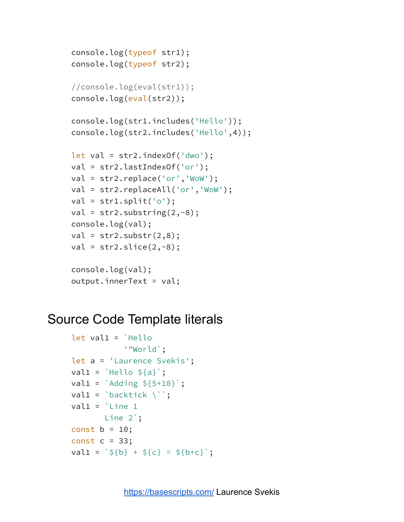```
console.log(typeof str1);
console.log(typeof str2);
//console.log(eval(str1));
console.log(eval(str2));
console.log(str1.includes('Hello'));
console.log(str2.includes('Hello',4));
let val = str2.indexOf('dwo');
val = str2.lastIndexOf('or');
val = str2.replace('or','WoW');
val = str2.replaceAll('or','WoW');
val = str1.split('o');val = str2.substring(2,-8);console.log(val);
val = str2.substr(2,8);val = str2.slice(2,-8);console.log(val);
output.innerText = val;
```
#### <span id="page-1-0"></span>Source Code Template literals

```
let val1 = `Hello
             '"World`;
let a = 'Laurence Svekis';
val1 = \text{Hello } $a$;val1 = \DeltaAdding \frac{1}{5+10};
val1 = `backtick \langle``;
val1 = Line 1
        Line 2`;
const b = 10;
const c = 33;
val1 = \sqrt{5}[b} + \frac{5}{5}[c} = \frac{5}{5}[b+c}';
```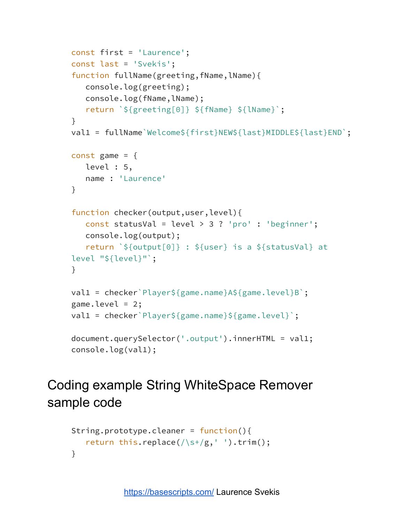```
const first = 'Laurence';
const last = 'Svekis';
function fullName(greeting, fName, lName){
   console.log(greeting);
  console.log(fName,lName);
   return `${greeting[0]} ${fName} ${lName}`;
}
val1 = fullName`Welcome${first}NEW${last}MIDDLE${last}END`;
const game = {
  level : 5,
  name : 'Laurence'
}
function checker(output,user,level){
   const statusVal = level > 3 ? 'pro' : 'beginner';
  console.log(output);
   return `${output[0]} : ${user} is a ${statusVal} at
level "${level}"`;
}
val1 = checker`Player${game.name}A${game.level}B`;
game.level = 2;val1 = checker`Player${game.name}${game.level}`;
document.querySelector('.output').innerHTML = val1;
console.log(val1);
```
### <span id="page-2-0"></span>Coding example String WhiteSpace Remover sample code

```
String.prototype.cleaner = function(){
    return this.replace(\frac{\sqrt{s}}{g}, \frac{\sqrt{s}}{\sqrt{g}}).trim();
}
```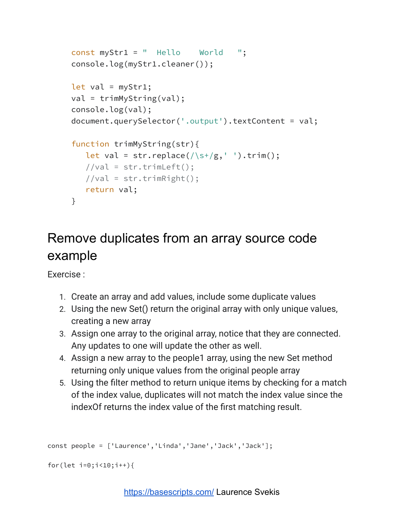```
const myStr1 = " Hello World ";
console.log(myStr1.cleaner());
let val = myStr1;val = trimMyString(val);
console.log(val);
document.querySelector('.output').textContent = val;
function trimMyString(str){
  let val = str.replace(/\simeq+/g,' ').trim();
  //val = str.trimLeft();//val = str.trimRight();
  return val;
}
```
## <span id="page-3-0"></span>Remove duplicates from an array source code example

Exercise :

- 1. Create an array and add values, include some duplicate values
- 2. Using the new Set() return the original array with only unique values, creating a new array
- 3. Assign one array to the original array, notice that they are connected. Any updates to one will update the other as well.
- 4. Assign a new array to the people1 array, using the new Set method returning only unique values from the original people array
- 5. Using the filter method to return unique items by checking for a match of the index value, duplicates will not match the index value since the indexOf returns the index value of the first matching result.

```
const people = ['Laurence','Linda','Jane','Jack','Jack'];
```

```
for(let i=0;i<10;i++){
```